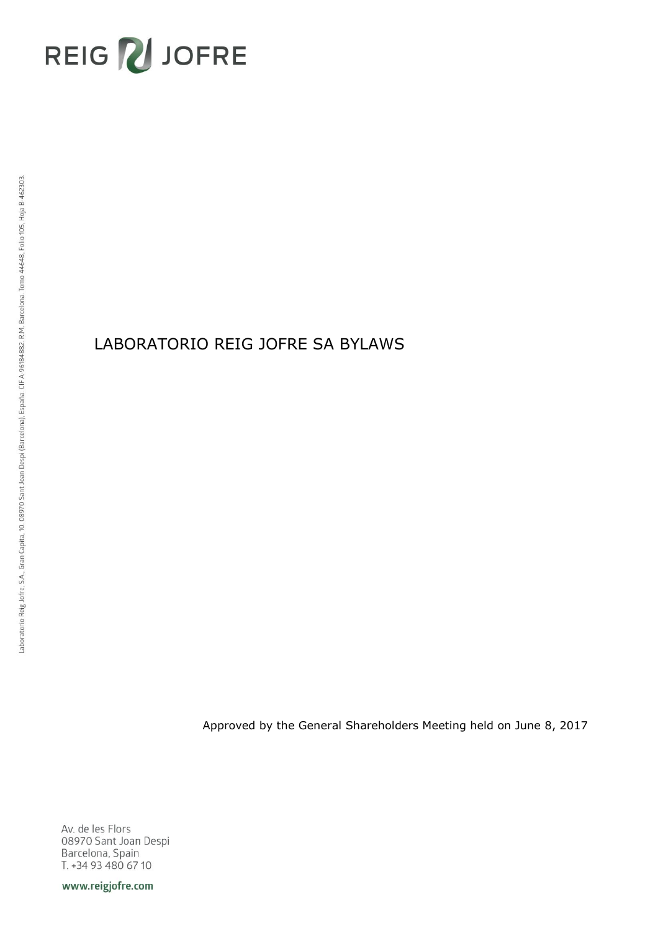# REIG VJOFRE

# LABORATORIO REIG JOFRE SA BYLAWS

Approved by the General Shareholders Meeting held on June 8, 2017

Av. de les Flors 08970 Sant Joan Despi Barcelona, Spain T. +34 93 480 67 10

www.reigjofre.com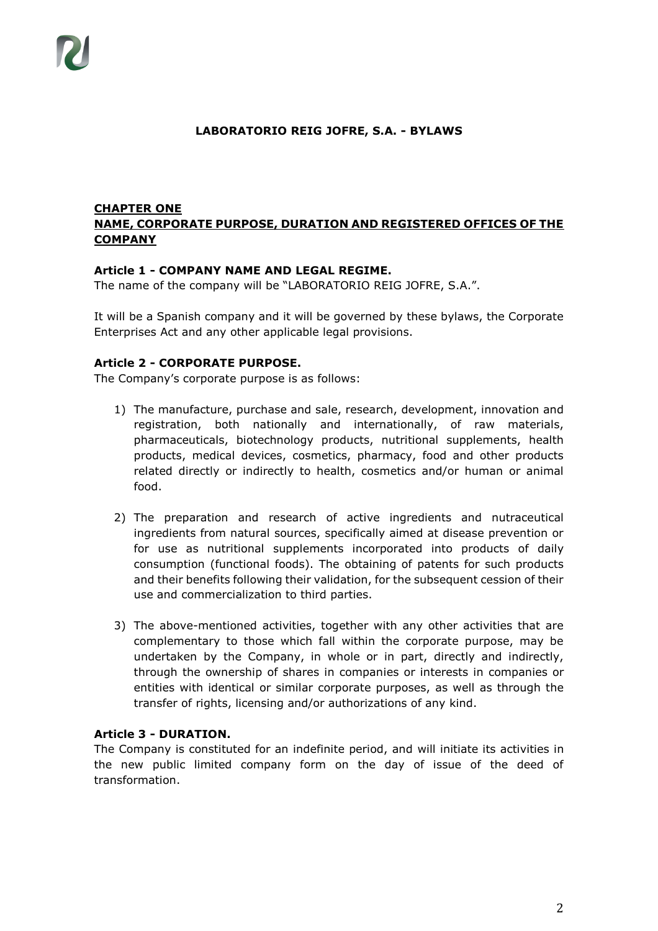#### **LABORATORIO REIG JOFRE, S.A. - BYLAWS**

#### **CHAPTER ONE NAME, CORPORATE PURPOSE, DURATION AND REGISTERED OFFICES OF THE COMPANY**

#### **Article 1 - COMPANY NAME AND LEGAL REGIME.**

The name of the company will be "LABORATORIO REIG JOFRE, S.A.".

It will be a Spanish company and it will be governed by these bylaws, the Corporate Enterprises Act and any other applicable legal provisions.

#### **Article 2 - CORPORATE PURPOSE.**

The Company's corporate purpose is as follows:

- 1) The manufacture, purchase and sale, research, development, innovation and registration, both nationally and internationally, of raw materials, pharmaceuticals, biotechnology products, nutritional supplements, health products, medical devices, cosmetics, pharmacy, food and other products related directly or indirectly to health, cosmetics and/or human or animal food.
- 2) The preparation and research of active ingredients and nutraceutical ingredients from natural sources, specifically aimed at disease prevention or for use as nutritional supplements incorporated into products of daily consumption (functional foods). The obtaining of patents for such products and their benefits following their validation, for the subsequent cession of their use and commercialization to third parties.
- 3) The above-mentioned activities, together with any other activities that are complementary to those which fall within the corporate purpose, may be undertaken by the Company, in whole or in part, directly and indirectly, through the ownership of shares in companies or interests in companies or entities with identical or similar corporate purposes, as well as through the transfer of rights, licensing and/or authorizations of any kind.

## **Article 3 - DURATION.**

The Company is constituted for an indefinite period, and will initiate its activities in the new public limited company form on the day of issue of the deed of transformation.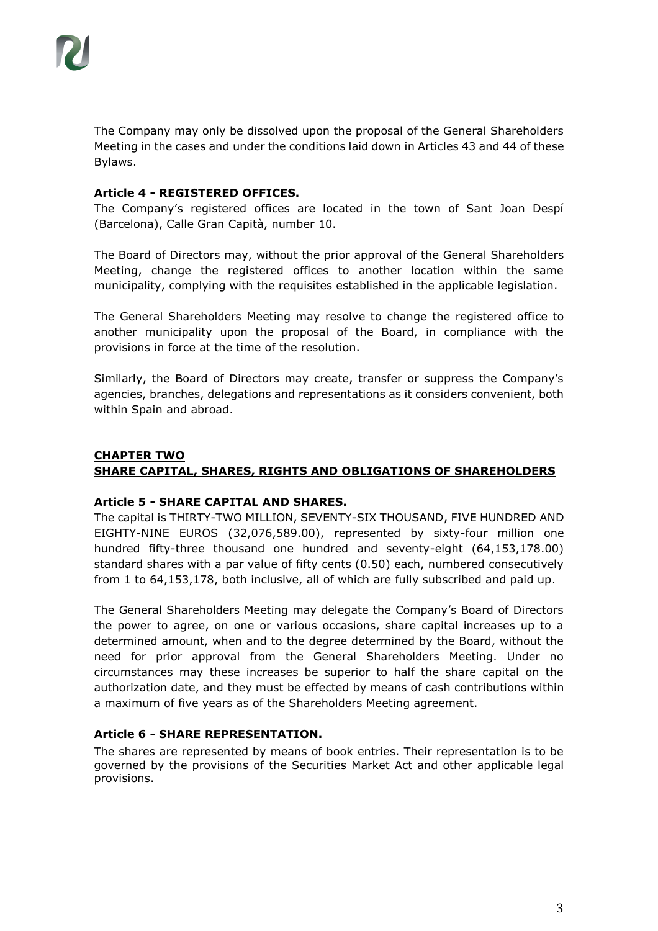The Company may only be dissolved upon the proposal of the General Shareholders Meeting in the cases and under the conditions laid down in Articles 43 and 44 of these Bylaws.

#### **Article 4 - REGISTERED OFFICES.**

The Company's registered offices are located in the town of Sant Joan Despí (Barcelona), Calle Gran Capità, number 10.

The Board of Directors may, without the prior approval of the General Shareholders Meeting, change the registered offices to another location within the same municipality, complying with the requisites established in the applicable legislation.

The General Shareholders Meeting may resolve to change the registered office to another municipality upon the proposal of the Board, in compliance with the provisions in force at the time of the resolution.

Similarly, the Board of Directors may create, transfer or suppress the Company's agencies, branches, delegations and representations as it considers convenient, both within Spain and abroad.

# **CHAPTER TWO SHARE CAPITAL, SHARES, RIGHTS AND OBLIGATIONS OF SHAREHOLDERS**

#### **Article 5 - SHARE CAPITAL AND SHARES.**

The capital is THIRTY-TWO MILLION, SEVENTY-SIX THOUSAND, FIVE HUNDRED AND EIGHTY-NINE EUROS (32,076,589.00), represented by sixty-four million one hundred fifty-three thousand one hundred and seventy-eight (64,153,178.00) standard shares with a par value of fifty cents (0.50) each, numbered consecutively from 1 to 64,153,178, both inclusive, all of which are fully subscribed and paid up.

The General Shareholders Meeting may delegate the Company's Board of Directors the power to agree, on one or various occasions, share capital increases up to a determined amount, when and to the degree determined by the Board, without the need for prior approval from the General Shareholders Meeting. Under no circumstances may these increases be superior to half the share capital on the authorization date, and they must be effected by means of cash contributions within a maximum of five years as of the Shareholders Meeting agreement.

# **Article 6 - SHARE REPRESENTATION.**

The shares are represented by means of book entries. Their representation is to be governed by the provisions of the Securities Market Act and other applicable legal provisions.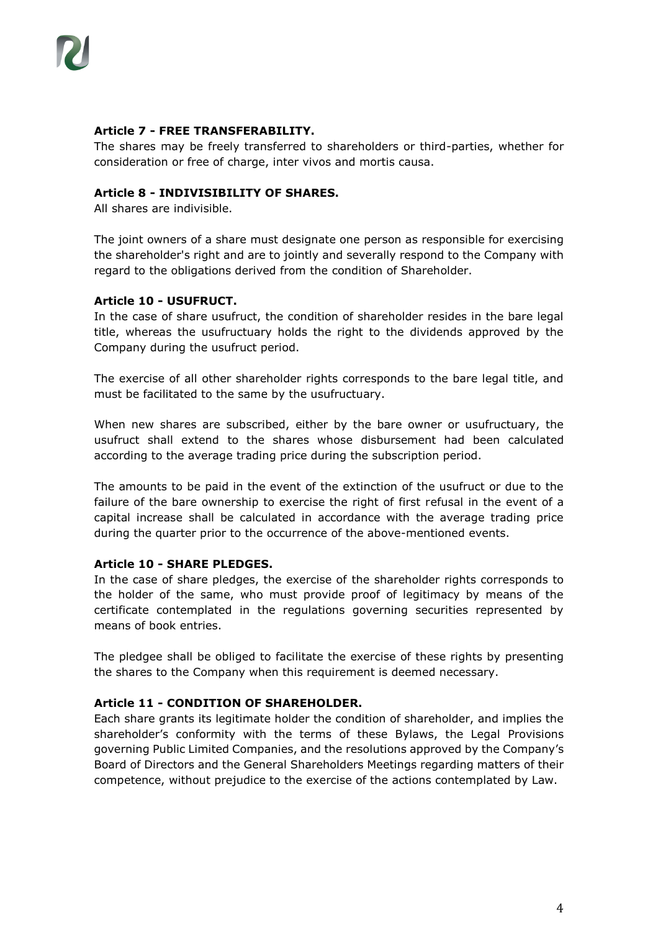## **Article 7 - FREE TRANSFERABILITY.**

The shares may be freely transferred to shareholders or third-parties, whether for consideration or free of charge, inter vivos and mortis causa.

#### **Article 8 - INDIVISIBILITY OF SHARES.**

All shares are indivisible.

The joint owners of a share must designate one person as responsible for exercising the shareholder's right and are to jointly and severally respond to the Company with regard to the obligations derived from the condition of Shareholder.

#### **Article 10 - USUFRUCT.**

In the case of share usufruct, the condition of shareholder resides in the bare legal title, whereas the usufructuary holds the right to the dividends approved by the Company during the usufruct period.

The exercise of all other shareholder rights corresponds to the bare legal title, and must be facilitated to the same by the usufructuary.

When new shares are subscribed, either by the bare owner or usufructuary, the usufruct shall extend to the shares whose disbursement had been calculated according to the average trading price during the subscription period.

The amounts to be paid in the event of the extinction of the usufruct or due to the failure of the bare ownership to exercise the right of first refusal in the event of a capital increase shall be calculated in accordance with the average trading price during the quarter prior to the occurrence of the above-mentioned events.

#### **Article 10 - SHARE PLEDGES.**

In the case of share pledges, the exercise of the shareholder rights corresponds to the holder of the same, who must provide proof of legitimacy by means of the certificate contemplated in the regulations governing securities represented by means of book entries.

The pledgee shall be obliged to facilitate the exercise of these rights by presenting the shares to the Company when this requirement is deemed necessary.

#### **Article 11 - CONDITION OF SHAREHOLDER.**

Each share grants its legitimate holder the condition of shareholder, and implies the shareholder's conformity with the terms of these Bylaws, the Legal Provisions governing Public Limited Companies, and the resolutions approved by the Company's Board of Directors and the General Shareholders Meetings regarding matters of their competence, without prejudice to the exercise of the actions contemplated by Law.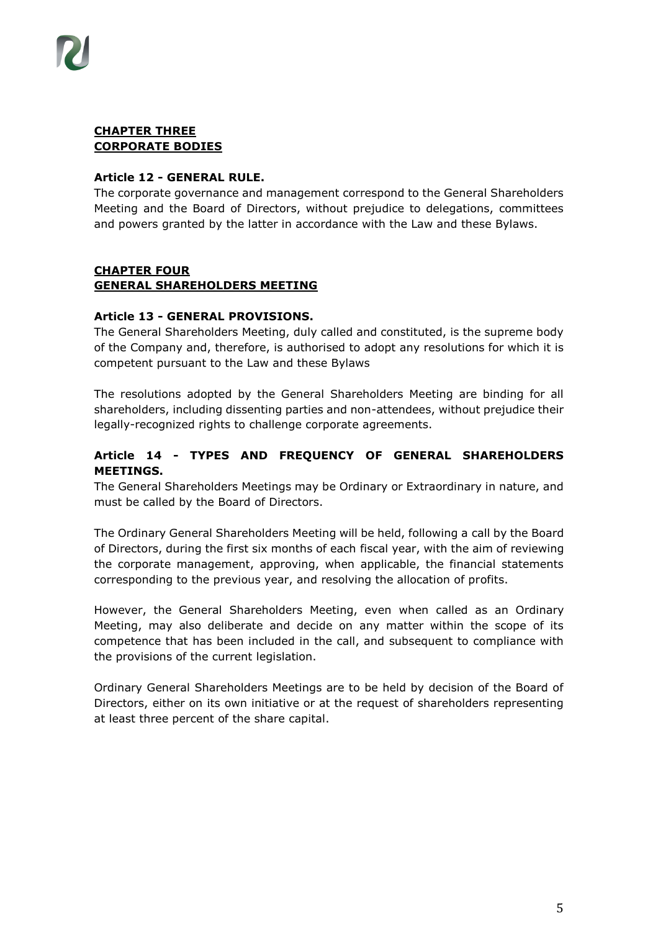

#### **CHAPTER THREE CORPORATE BODIES**

#### **Article 12 - GENERAL RULE.**

The corporate governance and management correspond to the General Shareholders Meeting and the Board of Directors, without prejudice to delegations, committees and powers granted by the latter in accordance with the Law and these Bylaws.

#### **CHAPTER FOUR GENERAL SHAREHOLDERS MEETING**

#### **Article 13 - GENERAL PROVISIONS.**

The General Shareholders Meeting, duly called and constituted, is the supreme body of the Company and, therefore, is authorised to adopt any resolutions for which it is competent pursuant to the Law and these Bylaws

The resolutions adopted by the General Shareholders Meeting are binding for all shareholders, including dissenting parties and non-attendees, without prejudice their legally-recognized rights to challenge corporate agreements.

## **Article 14 - TYPES AND FREQUENCY OF GENERAL SHAREHOLDERS MEETINGS.**

The General Shareholders Meetings may be Ordinary or Extraordinary in nature, and must be called by the Board of Directors.

The Ordinary General Shareholders Meeting will be held, following a call by the Board of Directors, during the first six months of each fiscal year, with the aim of reviewing the corporate management, approving, when applicable, the financial statements corresponding to the previous year, and resolving the allocation of profits.

However, the General Shareholders Meeting, even when called as an Ordinary Meeting, may also deliberate and decide on any matter within the scope of its competence that has been included in the call, and subsequent to compliance with the provisions of the current legislation.

Ordinary General Shareholders Meetings are to be held by decision of the Board of Directors, either on its own initiative or at the request of shareholders representing at least three percent of the share capital.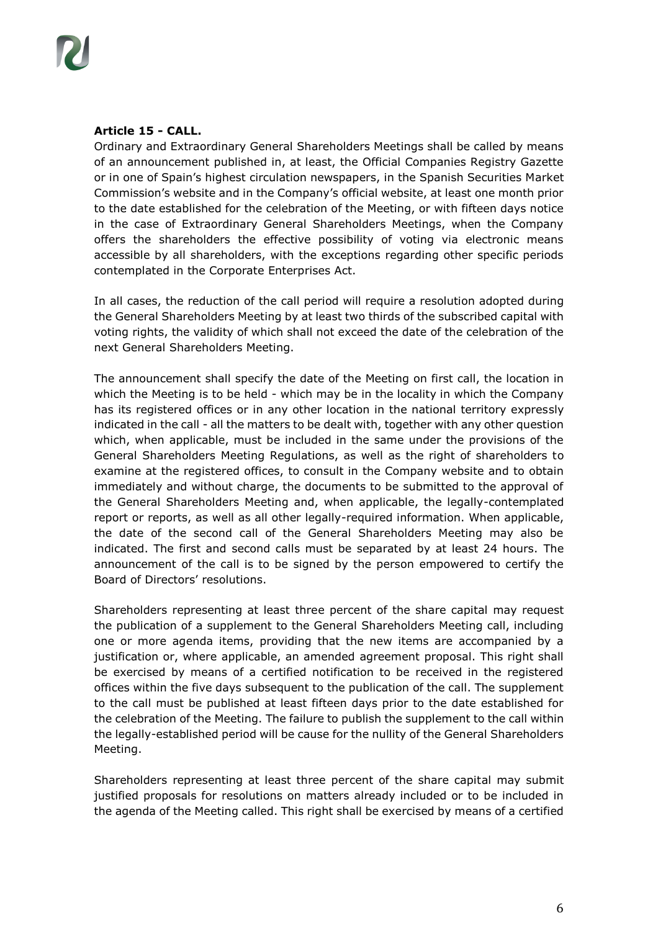

## **Article 15 - CALL.**

Ordinary and Extraordinary General Shareholders Meetings shall be called by means of an announcement published in, at least, the Official Companies Registry Gazette or in one of Spain's highest circulation newspapers, in the Spanish Securities Market Commission's website and in the Company's official website, at least one month prior to the date established for the celebration of the Meeting, or with fifteen days notice in the case of Extraordinary General Shareholders Meetings, when the Company offers the shareholders the effective possibility of voting via electronic means accessible by all shareholders, with the exceptions regarding other specific periods contemplated in the Corporate Enterprises Act.

In all cases, the reduction of the call period will require a resolution adopted during the General Shareholders Meeting by at least two thirds of the subscribed capital with voting rights, the validity of which shall not exceed the date of the celebration of the next General Shareholders Meeting.

The announcement shall specify the date of the Meeting on first call, the location in which the Meeting is to be held - which may be in the locality in which the Company has its registered offices or in any other location in the national territory expressly indicated in the call - all the matters to be dealt with, together with any other question which, when applicable, must be included in the same under the provisions of the General Shareholders Meeting Regulations, as well as the right of shareholders to examine at the registered offices, to consult in the Company website and to obtain immediately and without charge, the documents to be submitted to the approval of the General Shareholders Meeting and, when applicable, the legally-contemplated report or reports, as well as all other legally-required information. When applicable, the date of the second call of the General Shareholders Meeting may also be indicated. The first and second calls must be separated by at least 24 hours. The announcement of the call is to be signed by the person empowered to certify the Board of Directors' resolutions.

Shareholders representing at least three percent of the share capital may request the publication of a supplement to the General Shareholders Meeting call, including one or more agenda items, providing that the new items are accompanied by a justification or, where applicable, an amended agreement proposal. This right shall be exercised by means of a certified notification to be received in the registered offices within the five days subsequent to the publication of the call. The supplement to the call must be published at least fifteen days prior to the date established for the celebration of the Meeting. The failure to publish the supplement to the call within the legally-established period will be cause for the nullity of the General Shareholders Meeting.

Shareholders representing at least three percent of the share capital may submit justified proposals for resolutions on matters already included or to be included in the agenda of the Meeting called. This right shall be exercised by means of a certified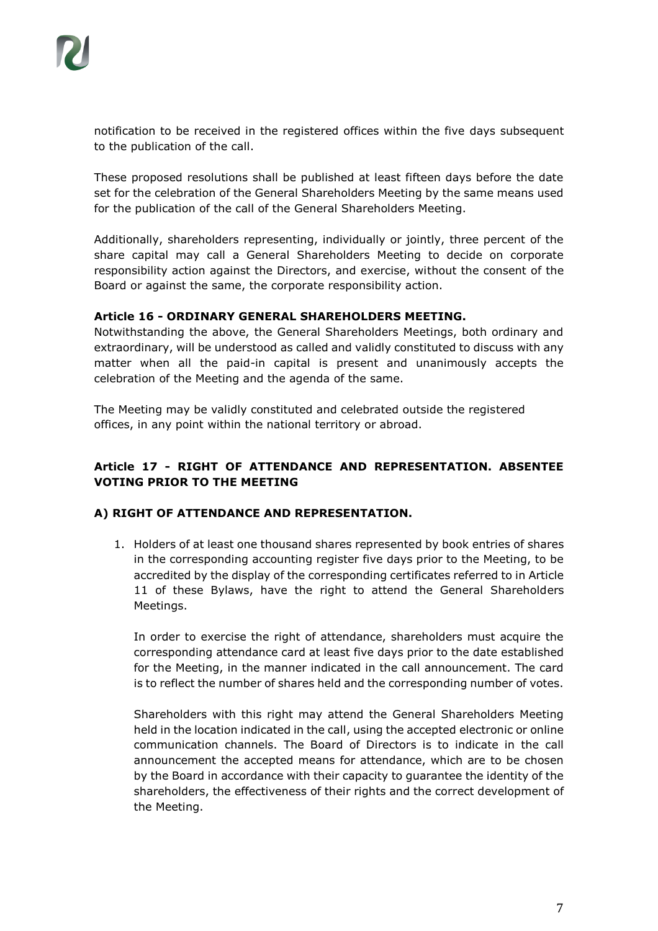notification to be received in the registered offices within the five days subsequent to the publication of the call.

These proposed resolutions shall be published at least fifteen days before the date set for the celebration of the General Shareholders Meeting by the same means used for the publication of the call of the General Shareholders Meeting.

Additionally, shareholders representing, individually or jointly, three percent of the share capital may call a General Shareholders Meeting to decide on corporate responsibility action against the Directors, and exercise, without the consent of the Board or against the same, the corporate responsibility action.

# **Article 16 - ORDINARY GENERAL SHAREHOLDERS MEETING.**

Notwithstanding the above, the General Shareholders Meetings, both ordinary and extraordinary, will be understood as called and validly constituted to discuss with any matter when all the paid-in capital is present and unanimously accepts the celebration of the Meeting and the agenda of the same.

The Meeting may be validly constituted and celebrated outside the registered offices, in any point within the national territory or abroad.

# **Article 17 - RIGHT OF ATTENDANCE AND REPRESENTATION. ABSENTEE VOTING PRIOR TO THE MEETING**

#### **A) RIGHT OF ATTENDANCE AND REPRESENTATION.**

1. Holders of at least one thousand shares represented by book entries of shares in the corresponding accounting register five days prior to the Meeting, to be accredited by the display of the corresponding certificates referred to in Article 11 of these Bylaws, have the right to attend the General Shareholders Meetings.

In order to exercise the right of attendance, shareholders must acquire the corresponding attendance card at least five days prior to the date established for the Meeting, in the manner indicated in the call announcement. The card is to reflect the number of shares held and the corresponding number of votes.

Shareholders with this right may attend the General Shareholders Meeting held in the location indicated in the call, using the accepted electronic or online communication channels. The Board of Directors is to indicate in the call announcement the accepted means for attendance, which are to be chosen by the Board in accordance with their capacity to guarantee the identity of the shareholders, the effectiveness of their rights and the correct development of the Meeting.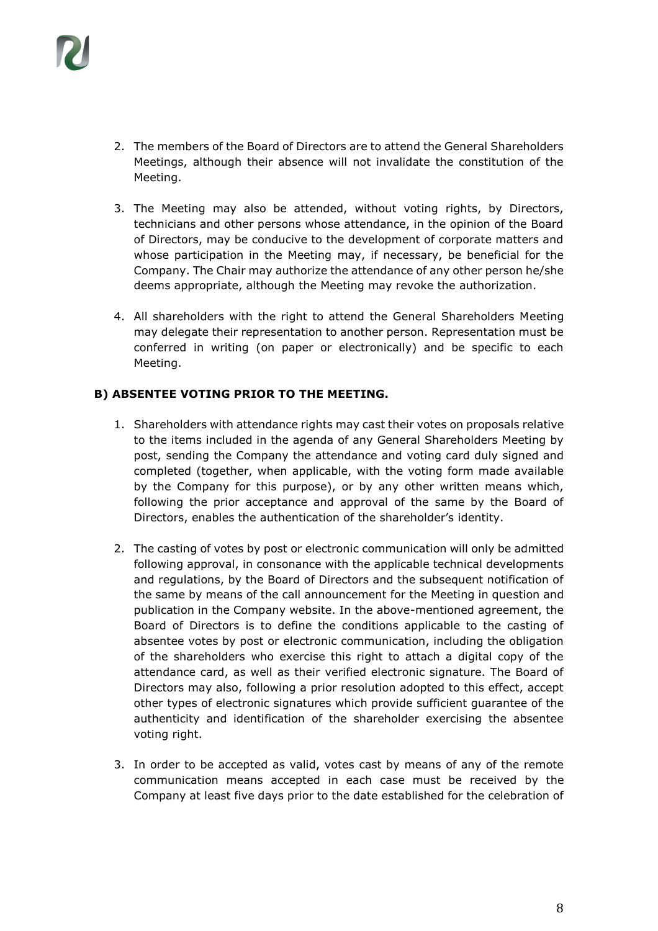

- 2. The members of the Board of Directors are to attend the General Shareholders Meetings, although their absence will not invalidate the constitution of the Meeting.
- 3. The Meeting may also be attended, without voting rights, by Directors, technicians and other persons whose attendance, in the opinion of the Board of Directors, may be conducive to the development of corporate matters and whose participation in the Meeting may, if necessary, be beneficial for the Company. The Chair may authorize the attendance of any other person he/she deems appropriate, although the Meeting may revoke the authorization.
- 4. All shareholders with the right to attend the General Shareholders Meeting may delegate their representation to another person. Representation must be conferred in writing (on paper or electronically) and be specific to each Meeting.

#### **B) ABSENTEE VOTING PRIOR TO THE MEETING.**

- 1. Shareholders with attendance rights may cast their votes on proposals relative to the items included in the agenda of any General Shareholders Meeting by post, sending the Company the attendance and voting card duly signed and completed (together, when applicable, with the voting form made available by the Company for this purpose), or by any other written means which, following the prior acceptance and approval of the same by the Board of Directors, enables the authentication of the shareholder's identity.
- 2. The casting of votes by post or electronic communication will only be admitted following approval, in consonance with the applicable technical developments and regulations, by the Board of Directors and the subsequent notification of the same by means of the call announcement for the Meeting in question and publication in the Company website. In the above-mentioned agreement, the Board of Directors is to define the conditions applicable to the casting of absentee votes by post or electronic communication, including the obligation of the shareholders who exercise this right to attach a digital copy of the attendance card, as well as their verified electronic signature. The Board of Directors may also, following a prior resolution adopted to this effect, accept other types of electronic signatures which provide sufficient guarantee of the authenticity and identification of the shareholder exercising the absentee voting right.
- 3. In order to be accepted as valid, votes cast by means of any of the remote communication means accepted in each case must be received by the Company at least five days prior to the date established for the celebration of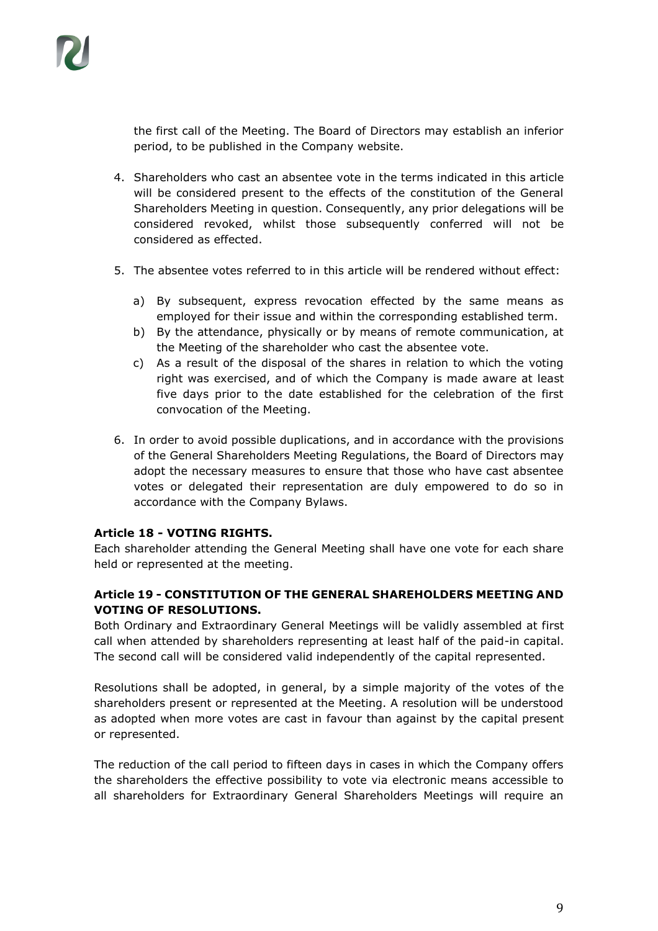the first call of the Meeting. The Board of Directors may establish an inferior period, to be published in the Company website.

- 4. Shareholders who cast an absentee vote in the terms indicated in this article will be considered present to the effects of the constitution of the General Shareholders Meeting in question. Consequently, any prior delegations will be considered revoked, whilst those subsequently conferred will not be considered as effected.
- 5. The absentee votes referred to in this article will be rendered without effect:
	- a) By subsequent, express revocation effected by the same means as employed for their issue and within the corresponding established term.
	- b) By the attendance, physically or by means of remote communication, at the Meeting of the shareholder who cast the absentee vote.
	- c) As a result of the disposal of the shares in relation to which the voting right was exercised, and of which the Company is made aware at least five days prior to the date established for the celebration of the first convocation of the Meeting.
- 6. In order to avoid possible duplications, and in accordance with the provisions of the General Shareholders Meeting Regulations, the Board of Directors may adopt the necessary measures to ensure that those who have cast absentee votes or delegated their representation are duly empowered to do so in accordance with the Company Bylaws.

#### **Article 18 - VOTING RIGHTS.**

Each shareholder attending the General Meeting shall have one vote for each share held or represented at the meeting.

# **Article 19 - CONSTITUTION OF THE GENERAL SHAREHOLDERS MEETING AND VOTING OF RESOLUTIONS.**

Both Ordinary and Extraordinary General Meetings will be validly assembled at first call when attended by shareholders representing at least half of the paid-in capital. The second call will be considered valid independently of the capital represented.

Resolutions shall be adopted, in general, by a simple majority of the votes of the shareholders present or represented at the Meeting. A resolution will be understood as adopted when more votes are cast in favour than against by the capital present or represented.

The reduction of the call period to fifteen days in cases in which the Company offers the shareholders the effective possibility to vote via electronic means accessible to all shareholders for Extraordinary General Shareholders Meetings will require an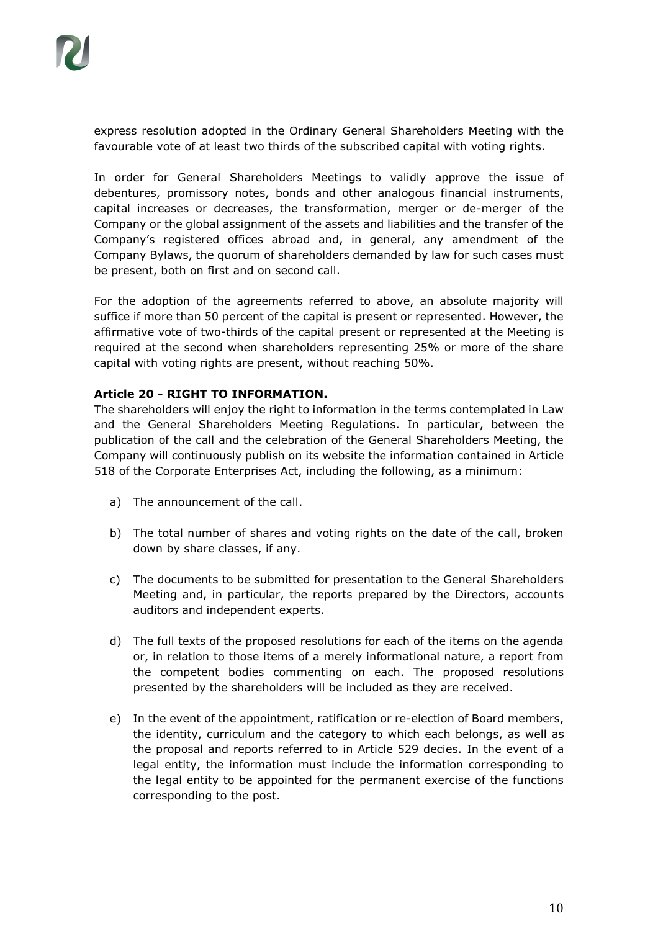express resolution adopted in the Ordinary General Shareholders Meeting with the favourable vote of at least two thirds of the subscribed capital with voting rights.

In order for General Shareholders Meetings to validly approve the issue of debentures, promissory notes, bonds and other analogous financial instruments, capital increases or decreases, the transformation, merger or de-merger of the Company or the global assignment of the assets and liabilities and the transfer of the Company's registered offices abroad and, in general, any amendment of the Company Bylaws, the quorum of shareholders demanded by law for such cases must be present, both on first and on second call.

For the adoption of the agreements referred to above, an absolute majority will suffice if more than 50 percent of the capital is present or represented. However, the affirmative vote of two-thirds of the capital present or represented at the Meeting is required at the second when shareholders representing 25% or more of the share capital with voting rights are present, without reaching 50%.

# **Article 20 - RIGHT TO INFORMATION.**

The shareholders will enjoy the right to information in the terms contemplated in Law and the General Shareholders Meeting Regulations. In particular, between the publication of the call and the celebration of the General Shareholders Meeting, the Company will continuously publish on its website the information contained in Article 518 of the Corporate Enterprises Act, including the following, as a minimum:

- a) The announcement of the call.
- b) The total number of shares and voting rights on the date of the call, broken down by share classes, if any.
- c) The documents to be submitted for presentation to the General Shareholders Meeting and, in particular, the reports prepared by the Directors, accounts auditors and independent experts.
- d) The full texts of the proposed resolutions for each of the items on the agenda or, in relation to those items of a merely informational nature, a report from the competent bodies commenting on each. The proposed resolutions presented by the shareholders will be included as they are received.
- e) In the event of the appointment, ratification or re-election of Board members, the identity, curriculum and the category to which each belongs, as well as the proposal and reports referred to in Article 529 decies. In the event of a legal entity, the information must include the information corresponding to the legal entity to be appointed for the permanent exercise of the functions corresponding to the post.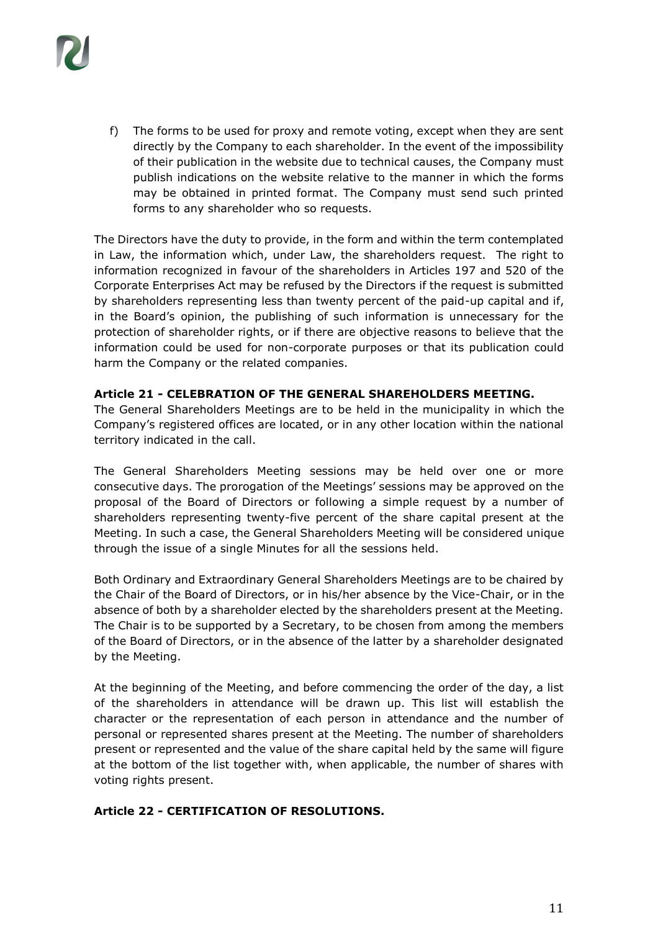

f) The forms to be used for proxy and remote voting, except when they are sent directly by the Company to each shareholder. In the event of the impossibility of their publication in the website due to technical causes, the Company must publish indications on the website relative to the manner in which the forms may be obtained in printed format. The Company must send such printed forms to any shareholder who so requests.

The Directors have the duty to provide, in the form and within the term contemplated in Law, the information which, under Law, the shareholders request. The right to information recognized in favour of the shareholders in Articles 197 and 520 of the Corporate Enterprises Act may be refused by the Directors if the request is submitted by shareholders representing less than twenty percent of the paid-up capital and if, in the Board's opinion, the publishing of such information is unnecessary for the protection of shareholder rights, or if there are objective reasons to believe that the information could be used for non-corporate purposes or that its publication could harm the Company or the related companies.

#### **Article 21 - CELEBRATION OF THE GENERAL SHAREHOLDERS MEETING.**

The General Shareholders Meetings are to be held in the municipality in which the Company's registered offices are located, or in any other location within the national territory indicated in the call.

The General Shareholders Meeting sessions may be held over one or more consecutive days. The prorogation of the Meetings' sessions may be approved on the proposal of the Board of Directors or following a simple request by a number of shareholders representing twenty-five percent of the share capital present at the Meeting. In such a case, the General Shareholders Meeting will be considered unique through the issue of a single Minutes for all the sessions held.

Both Ordinary and Extraordinary General Shareholders Meetings are to be chaired by the Chair of the Board of Directors, or in his/her absence by the Vice-Chair, or in the absence of both by a shareholder elected by the shareholders present at the Meeting. The Chair is to be supported by a Secretary, to be chosen from among the members of the Board of Directors, or in the absence of the latter by a shareholder designated by the Meeting.

At the beginning of the Meeting, and before commencing the order of the day, a list of the shareholders in attendance will be drawn up. This list will establish the character or the representation of each person in attendance and the number of personal or represented shares present at the Meeting. The number of shareholders present or represented and the value of the share capital held by the same will figure at the bottom of the list together with, when applicable, the number of shares with voting rights present.

#### **Article 22 - CERTIFICATION OF RESOLUTIONS.**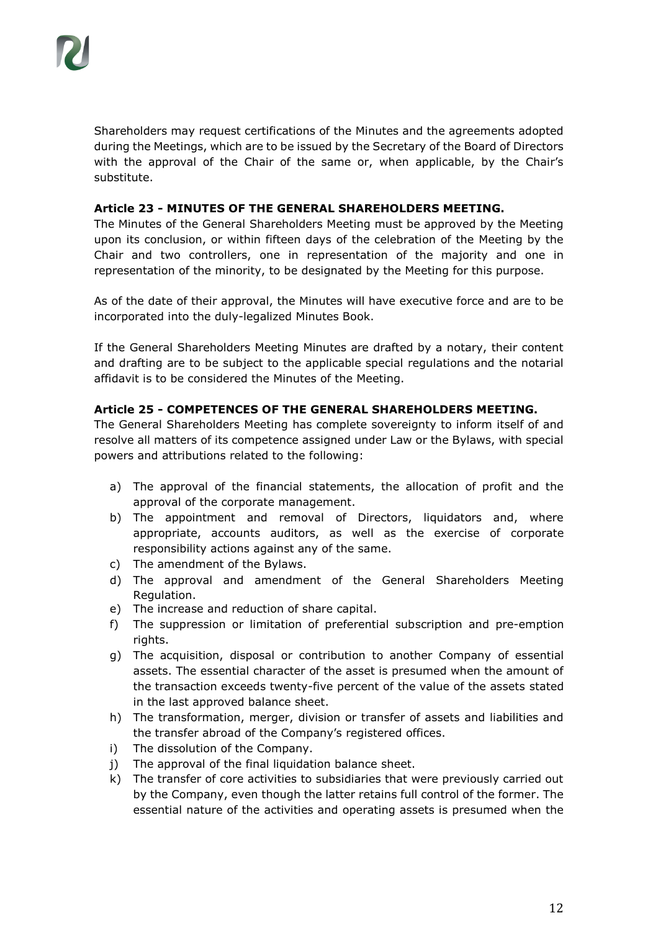Shareholders may request certifications of the Minutes and the agreements adopted during the Meetings, which are to be issued by the Secretary of the Board of Directors with the approval of the Chair of the same or, when applicable, by the Chair's substitute.

#### **Article 23 - MINUTES OF THE GENERAL SHAREHOLDERS MEETING.**

The Minutes of the General Shareholders Meeting must be approved by the Meeting upon its conclusion, or within fifteen days of the celebration of the Meeting by the Chair and two controllers, one in representation of the majority and one in representation of the minority, to be designated by the Meeting for this purpose.

As of the date of their approval, the Minutes will have executive force and are to be incorporated into the duly-legalized Minutes Book.

If the General Shareholders Meeting Minutes are drafted by a notary, their content and drafting are to be subject to the applicable special regulations and the notarial affidavit is to be considered the Minutes of the Meeting.

#### **Article 25 - COMPETENCES OF THE GENERAL SHAREHOLDERS MEETING.**

The General Shareholders Meeting has complete sovereignty to inform itself of and resolve all matters of its competence assigned under Law or the Bylaws, with special powers and attributions related to the following:

- a) The approval of the financial statements, the allocation of profit and the approval of the corporate management.
- b) The appointment and removal of Directors, liquidators and, where appropriate, accounts auditors, as well as the exercise of corporate responsibility actions against any of the same.
- c) The amendment of the Bylaws.
- d) The approval and amendment of the General Shareholders Meeting Regulation.
- e) The increase and reduction of share capital.
- f) The suppression or limitation of preferential subscription and pre-emption rights.
- g) The acquisition, disposal or contribution to another Company of essential assets. The essential character of the asset is presumed when the amount of the transaction exceeds twenty-five percent of the value of the assets stated in the last approved balance sheet.
- h) The transformation, merger, division or transfer of assets and liabilities and the transfer abroad of the Company's registered offices.
- i) The dissolution of the Company.
- j) The approval of the final liquidation balance sheet.
- k) The transfer of core activities to subsidiaries that were previously carried out by the Company, even though the latter retains full control of the former. The essential nature of the activities and operating assets is presumed when the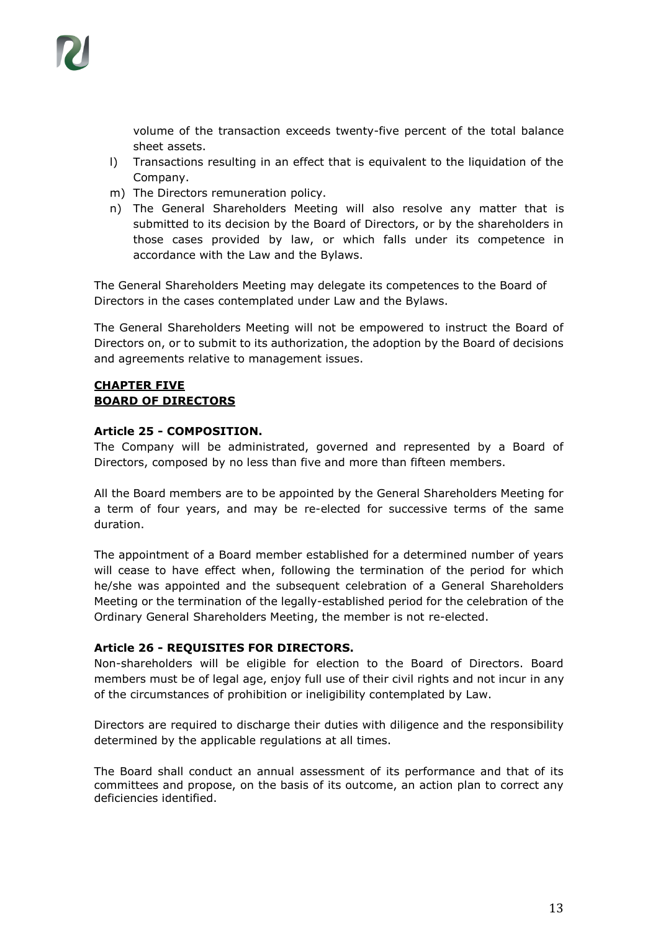

volume of the transaction exceeds twenty-five percent of the total balance sheet assets.

- l) Transactions resulting in an effect that is equivalent to the liquidation of the Company.
- m) The Directors remuneration policy.
- n) The General Shareholders Meeting will also resolve any matter that is submitted to its decision by the Board of Directors, or by the shareholders in those cases provided by law, or which falls under its competence in accordance with the Law and the Bylaws.

The General Shareholders Meeting may delegate its competences to the Board of Directors in the cases contemplated under Law and the Bylaws.

The General Shareholders Meeting will not be empowered to instruct the Board of Directors on, or to submit to its authorization, the adoption by the Board of decisions and agreements relative to management issues.

#### **CHAPTER FIVE BOARD OF DIRECTORS**

#### **Article 25 - COMPOSITION.**

The Company will be administrated, governed and represented by a Board of Directors, composed by no less than five and more than fifteen members.

All the Board members are to be appointed by the General Shareholders Meeting for a term of four years, and may be re-elected for successive terms of the same duration.

The appointment of a Board member established for a determined number of years will cease to have effect when, following the termination of the period for which he/she was appointed and the subsequent celebration of a General Shareholders Meeting or the termination of the legally-established period for the celebration of the Ordinary General Shareholders Meeting, the member is not re-elected.

#### **Article 26 - REQUISITES FOR DIRECTORS.**

Non-shareholders will be eligible for election to the Board of Directors. Board members must be of legal age, enjoy full use of their civil rights and not incur in any of the circumstances of prohibition or ineligibility contemplated by Law.

Directors are required to discharge their duties with diligence and the responsibility determined by the applicable regulations at all times.

The Board shall conduct an annual assessment of its performance and that of its committees and propose, on the basis of its outcome, an action plan to correct any deficiencies identified.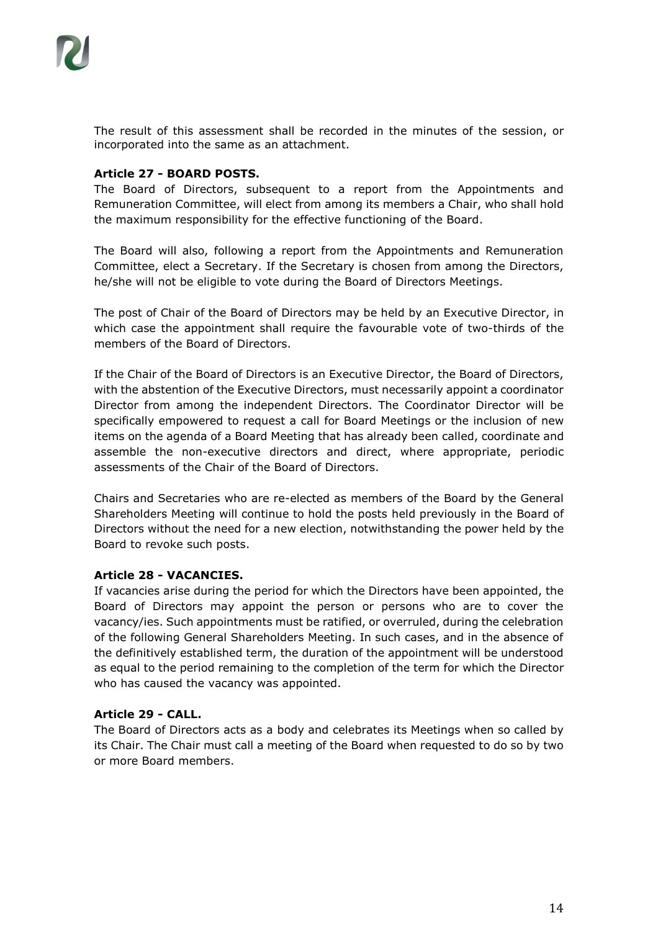The result of this assessment shall be recorded in the minutes of the session, or incorporated into the same as an attachment.

#### **Article 27 - BOARD POSTS.**

The Board of Directors, subsequent to a report from the Appointments and Remuneration Committee, will elect from among its members a Chair, who shall hold the maximum responsibility for the effective functioning of the Board.

The Board will also, following a report from the Appointments and Remuneration Committee, elect a Secretary. If the Secretary is chosen from among the Directors, he/she will not be eligible to vote during the Board of Directors Meetings.

The post of Chair of the Board of Directors may be held by an Executive Director, in which case the appointment shall require the favourable vote of two-thirds of the members of the Board of Directors.

If the Chair of the Board of Directors is an Executive Director, the Board of Directors, with the abstention of the Executive Directors, must necessarily appoint a coordinator Director from among the independent Directors. The Coordinator Director will be specifically empowered to request a call for Board Meetings or the inclusion of new items on the agenda of a Board Meeting that has already been called, coordinate and assemble the non-executive directors and direct, where appropriate, periodic assessments of the Chair of the Board of Directors.

Chairs and Secretaries who are re-elected as members of the Board by the General Shareholders Meeting will continue to hold the posts held previously in the Board of Directors without the need for a new election, notwithstanding the power held by the Board to revoke such posts.

# **Article 28 - VACANCIES.**

If vacancies arise during the period for which the Directors have been appointed, the Board of Directors may appoint the person or persons who are to cover the vacancy/ies. Such appointments must be ratified, or overruled, during the celebration of the following General Shareholders Meeting. In such cases, and in the absence of the definitively established term, the duration of the appointment will be understood as equal to the period remaining to the completion of the term for which the Director who has caused the vacancy was appointed.

# **Article 29 - CALL.**

The Board of Directors acts as a body and celebrates its Meetings when so called by its Chair. The Chair must call a meeting of the Board when requested to do so by two or more Board members.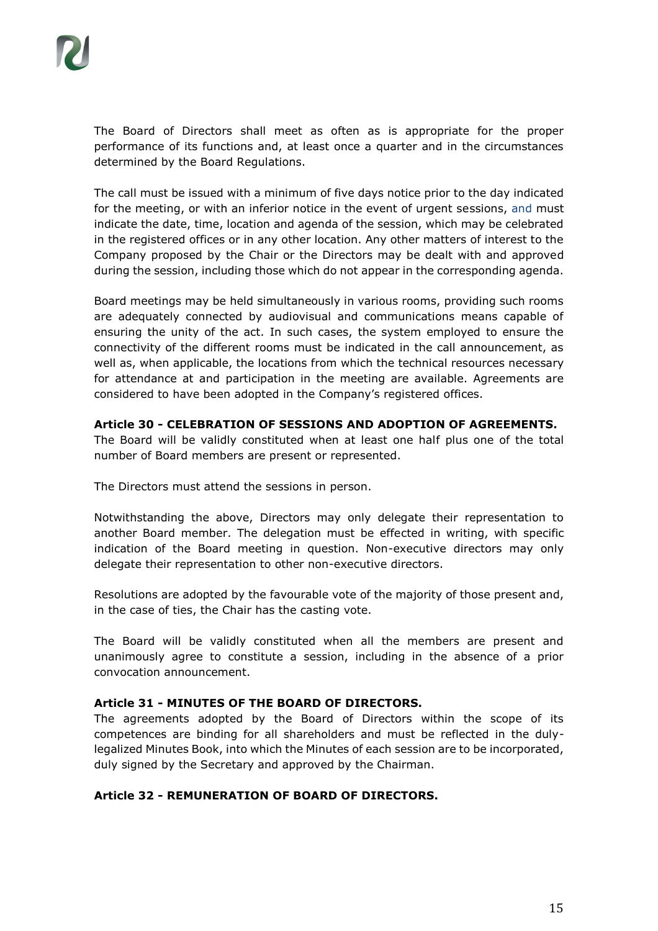The Board of Directors shall meet as often as is appropriate for the proper performance of its functions and, at least once a quarter and in the circumstances determined by the Board Regulations.

The call must be issued with a minimum of five days notice prior to the day indicated for the meeting, or with an inferior notice in the event of urgent sessions, and must indicate the date, time, location and agenda of the session, which may be celebrated in the registered offices or in any other location. Any other matters of interest to the Company proposed by the Chair or the Directors may be dealt with and approved during the session, including those which do not appear in the corresponding agenda.

Board meetings may be held simultaneously in various rooms, providing such rooms are adequately connected by audiovisual and communications means capable of ensuring the unity of the act. In such cases, the system employed to ensure the connectivity of the different rooms must be indicated in the call announcement, as well as, when applicable, the locations from which the technical resources necessary for attendance at and participation in the meeting are available. Agreements are considered to have been adopted in the Company's registered offices.

#### **Article 30 - CELEBRATION OF SESSIONS AND ADOPTION OF AGREEMENTS.**

The Board will be validly constituted when at least one half plus one of the total number of Board members are present or represented.

The Directors must attend the sessions in person.

Notwithstanding the above, Directors may only delegate their representation to another Board member. The delegation must be effected in writing, with specific indication of the Board meeting in question. Non-executive directors may only delegate their representation to other non-executive directors.

Resolutions are adopted by the favourable vote of the majority of those present and, in the case of ties, the Chair has the casting vote.

The Board will be validly constituted when all the members are present and unanimously agree to constitute a session, including in the absence of a prior convocation announcement.

#### **Article 31 - MINUTES OF THE BOARD OF DIRECTORS.**

The agreements adopted by the Board of Directors within the scope of its competences are binding for all shareholders and must be reflected in the dulylegalized Minutes Book, into which the Minutes of each session are to be incorporated, duly signed by the Secretary and approved by the Chairman.

#### **Article 32 - REMUNERATION OF BOARD OF DIRECTORS.**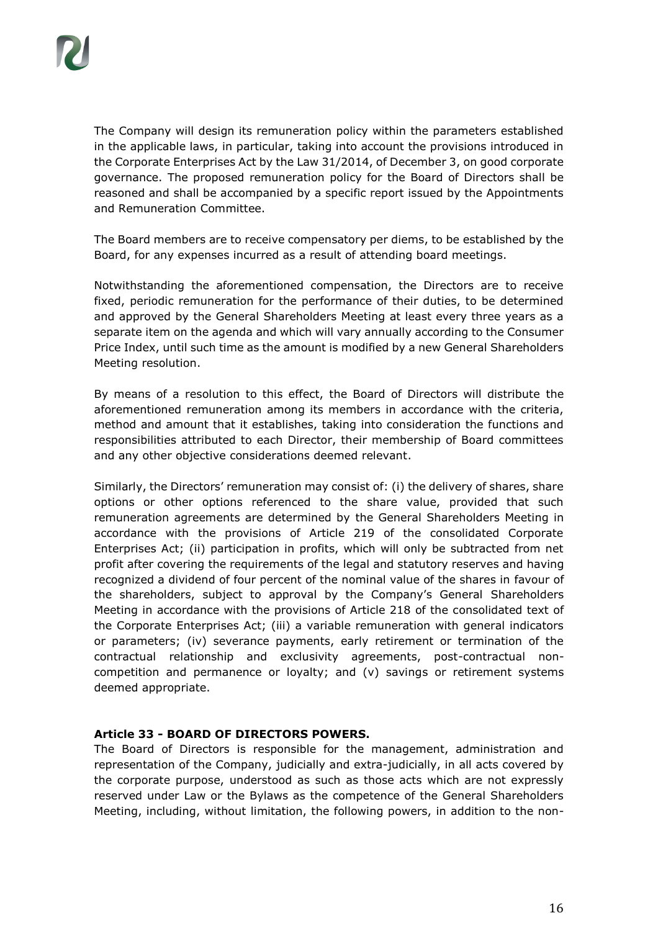The Company will design its remuneration policy within the parameters established in the applicable laws, in particular, taking into account the provisions introduced in the Corporate Enterprises Act by the Law 31/2014, of December 3, on good corporate governance. The proposed remuneration policy for the Board of Directors shall be reasoned and shall be accompanied by a specific report issued by the Appointments and Remuneration Committee.

The Board members are to receive compensatory per diems, to be established by the Board, for any expenses incurred as a result of attending board meetings.

Notwithstanding the aforementioned compensation, the Directors are to receive fixed, periodic remuneration for the performance of their duties, to be determined and approved by the General Shareholders Meeting at least every three years as a separate item on the agenda and which will vary annually according to the Consumer Price Index, until such time as the amount is modified by a new General Shareholders Meeting resolution.

By means of a resolution to this effect, the Board of Directors will distribute the aforementioned remuneration among its members in accordance with the criteria, method and amount that it establishes, taking into consideration the functions and responsibilities attributed to each Director, their membership of Board committees and any other objective considerations deemed relevant.

Similarly, the Directors' remuneration may consist of: (i) the delivery of shares, share options or other options referenced to the share value, provided that such remuneration agreements are determined by the General Shareholders Meeting in accordance with the provisions of Article 219 of the consolidated Corporate Enterprises Act; (ii) participation in profits, which will only be subtracted from net profit after covering the requirements of the legal and statutory reserves and having recognized a dividend of four percent of the nominal value of the shares in favour of the shareholders, subject to approval by the Company's General Shareholders Meeting in accordance with the provisions of Article 218 of the consolidated text of the Corporate Enterprises Act; (iii) a variable remuneration with general indicators or parameters; (iv) severance payments, early retirement or termination of the contractual relationship and exclusivity agreements, post-contractual noncompetition and permanence or loyalty; and (v) savings or retirement systems deemed appropriate.

#### **Article 33 - BOARD OF DIRECTORS POWERS.**

The Board of Directors is responsible for the management, administration and representation of the Company, judicially and extra-judicially, in all acts covered by the corporate purpose, understood as such as those acts which are not expressly reserved under Law or the Bylaws as the competence of the General Shareholders Meeting, including, without limitation, the following powers, in addition to the non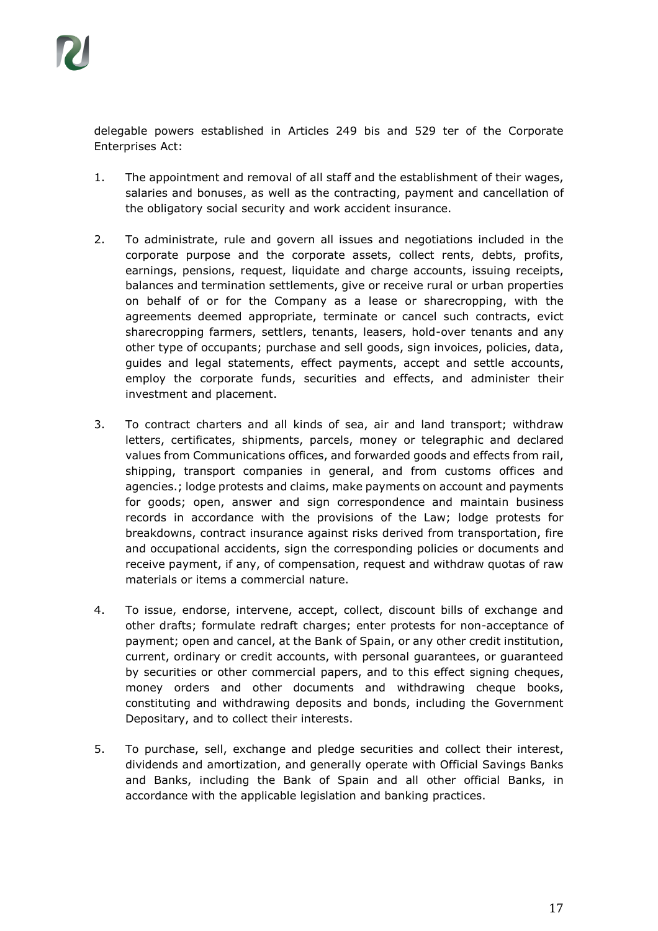delegable powers established in Articles 249 bis and 529 ter of the Corporate Enterprises Act:

- 1. The appointment and removal of all staff and the establishment of their wages, salaries and bonuses, as well as the contracting, payment and cancellation of the obligatory social security and work accident insurance.
- 2. To administrate, rule and govern all issues and negotiations included in the corporate purpose and the corporate assets, collect rents, debts, profits, earnings, pensions, request, liquidate and charge accounts, issuing receipts, balances and termination settlements, give or receive rural or urban properties on behalf of or for the Company as a lease or sharecropping, with the agreements deemed appropriate, terminate or cancel such contracts, evict sharecropping farmers, settlers, tenants, leasers, hold-over tenants and any other type of occupants; purchase and sell goods, sign invoices, policies, data, guides and legal statements, effect payments, accept and settle accounts, employ the corporate funds, securities and effects, and administer their investment and placement.
- 3. To contract charters and all kinds of sea, air and land transport; withdraw letters, certificates, shipments, parcels, money or telegraphic and declared values from Communications offices, and forwarded goods and effects from rail, shipping, transport companies in general, and from customs offices and agencies.; lodge protests and claims, make payments on account and payments for goods; open, answer and sign correspondence and maintain business records in accordance with the provisions of the Law; lodge protests for breakdowns, contract insurance against risks derived from transportation, fire and occupational accidents, sign the corresponding policies or documents and receive payment, if any, of compensation, request and withdraw quotas of raw materials or items a commercial nature.
- 4. To issue, endorse, intervene, accept, collect, discount bills of exchange and other drafts; formulate redraft charges; enter protests for non-acceptance of payment; open and cancel, at the Bank of Spain, or any other credit institution, current, ordinary or credit accounts, with personal guarantees, or guaranteed by securities or other commercial papers, and to this effect signing cheques, money orders and other documents and withdrawing cheque books, constituting and withdrawing deposits and bonds, including the Government Depositary, and to collect their interests.
- 5. To purchase, sell, exchange and pledge securities and collect their interest, dividends and amortization, and generally operate with Official Savings Banks and Banks, including the Bank of Spain and all other official Banks, in accordance with the applicable legislation and banking practices.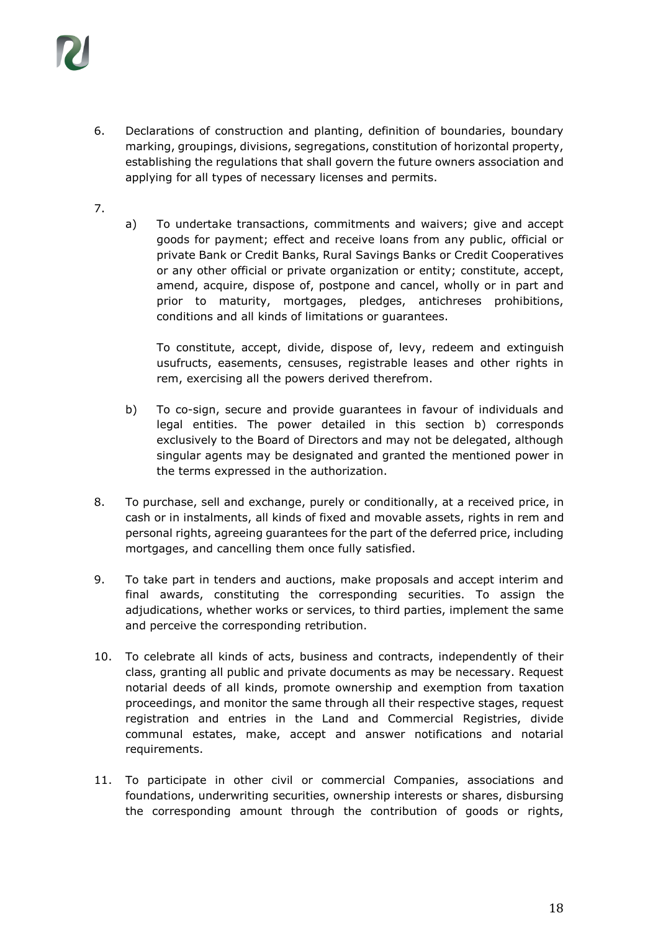

- 6. Declarations of construction and planting, definition of boundaries, boundary marking, groupings, divisions, segregations, constitution of horizontal property, establishing the regulations that shall govern the future owners association and applying for all types of necessary licenses and permits.
- 7.
- a) To undertake transactions, commitments and waivers; give and accept goods for payment; effect and receive loans from any public, official or private Bank or Credit Banks, Rural Savings Banks or Credit Cooperatives or any other official or private organization or entity; constitute, accept, amend, acquire, dispose of, postpone and cancel, wholly or in part and prior to maturity, mortgages, pledges, antichreses prohibitions, conditions and all kinds of limitations or guarantees.

To constitute, accept, divide, dispose of, levy, redeem and extinguish usufructs, easements, censuses, registrable leases and other rights in rem, exercising all the powers derived therefrom.

- b) To co-sign, secure and provide guarantees in favour of individuals and legal entities. The power detailed in this section b) corresponds exclusively to the Board of Directors and may not be delegated, although singular agents may be designated and granted the mentioned power in the terms expressed in the authorization.
- 8. To purchase, sell and exchange, purely or conditionally, at a received price, in cash or in instalments, all kinds of fixed and movable assets, rights in rem and personal rights, agreeing guarantees for the part of the deferred price, including mortgages, and cancelling them once fully satisfied.
- 9. To take part in tenders and auctions, make proposals and accept interim and final awards, constituting the corresponding securities. To assign the adjudications, whether works or services, to third parties, implement the same and perceive the corresponding retribution.
- 10. To celebrate all kinds of acts, business and contracts, independently of their class, granting all public and private documents as may be necessary. Request notarial deeds of all kinds, promote ownership and exemption from taxation proceedings, and monitor the same through all their respective stages, request registration and entries in the Land and Commercial Registries, divide communal estates, make, accept and answer notifications and notarial requirements.
- 11. To participate in other civil or commercial Companies, associations and foundations, underwriting securities, ownership interests or shares, disbursing the corresponding amount through the contribution of goods or rights,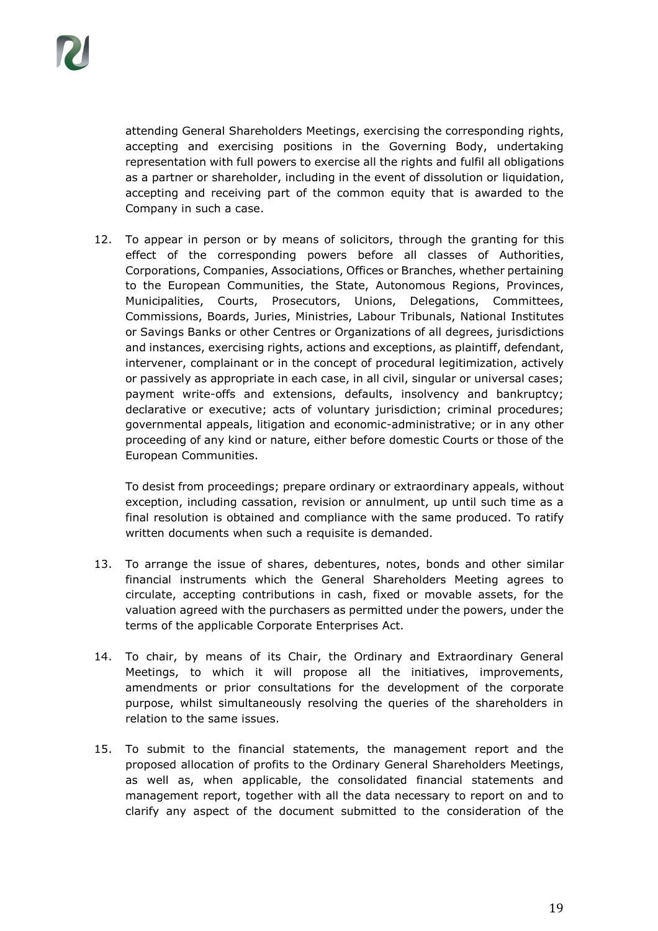attending General Shareholders Meetings, exercising the corresponding rights, accepting and exercising positions in the Governing Body, undertaking representation with full powers to exercise all the rights and fulfil all obligations as a partner or shareholder, including in the event of dissolution or liquidation, accepting and receiving part of the common equity that is awarded to the Company in such a case.

12. To appear in person or by means of solicitors, through the granting for this effect of the corresponding powers before all classes of Authorities, Corporations, Companies, Associations, Offices or Branches, whether pertaining to the European Communities, the State, Autonomous Regions, Provinces, Municipalities, Courts, Prosecutors, Unions, Delegations, Committees, Commissions, Boards, Juries, Ministries, Labour Tribunals, National Institutes or Savings Banks or other Centres or Organizations of all degrees, jurisdictions and instances, exercising rights, actions and exceptions, as plaintiff, defendant, intervener, complainant or in the concept of procedural legitimization, actively or passively as appropriate in each case, in all civil, singular or universal cases; payment write-offs and extensions, defaults, insolvency and bankruptcy; declarative or executive; acts of voluntary jurisdiction; criminal procedures; governmental appeals, litigation and economic-administrative; or in any other proceeding of any kind or nature, either before domestic Courts or those of the European Communities.

To desist from proceedings; prepare ordinary or extraordinary appeals, without exception, including cassation, revision or annulment, up until such time as a final resolution is obtained and compliance with the same produced. To ratify written documents when such a requisite is demanded.

- 13. To arrange the issue of shares, debentures, notes, bonds and other similar financial instruments which the General Shareholders Meeting agrees to circulate, accepting contributions in cash, fixed or movable assets, for the valuation agreed with the purchasers as permitted under the powers, under the terms of the applicable Corporate Enterprises Act.
- 14. To chair, by means of its Chair, the Ordinary and Extraordinary General Meetings, to which it will propose all the initiatives, improvements, amendments or prior consultations for the development of the corporate purpose, whilst simultaneously resolving the queries of the shareholders in relation to the same issues.
- 15. To submit to the financial statements, the management report and the proposed allocation of profits to the Ordinary General Shareholders Meetings, as well as, when applicable, the consolidated financial statements and management report, together with all the data necessary to report on and to clarify any aspect of the document submitted to the consideration of the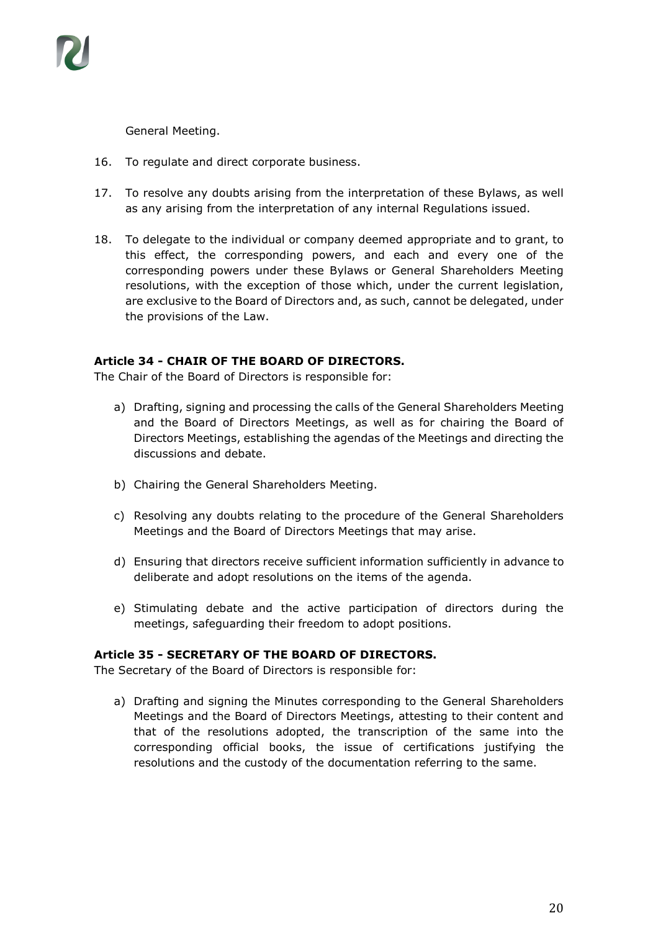

General Meeting.

- 16. To regulate and direct corporate business.
- 17. To resolve any doubts arising from the interpretation of these Bylaws, as well as any arising from the interpretation of any internal Regulations issued.
- 18. To delegate to the individual or company deemed appropriate and to grant, to this effect, the corresponding powers, and each and every one of the corresponding powers under these Bylaws or General Shareholders Meeting resolutions, with the exception of those which, under the current legislation, are exclusive to the Board of Directors and, as such, cannot be delegated, under the provisions of the Law.

#### **Article 34 - CHAIR OF THE BOARD OF DIRECTORS.**

The Chair of the Board of Directors is responsible for:

- a) Drafting, signing and processing the calls of the General Shareholders Meeting and the Board of Directors Meetings, as well as for chairing the Board of Directors Meetings, establishing the agendas of the Meetings and directing the discussions and debate.
- b) Chairing the General Shareholders Meeting.
- c) Resolving any doubts relating to the procedure of the General Shareholders Meetings and the Board of Directors Meetings that may arise.
- d) Ensuring that directors receive sufficient information sufficiently in advance to deliberate and adopt resolutions on the items of the agenda.
- e) Stimulating debate and the active participation of directors during the meetings, safeguarding their freedom to adopt positions.

#### **Article 35 - SECRETARY OF THE BOARD OF DIRECTORS.**

The Secretary of the Board of Directors is responsible for:

a) Drafting and signing the Minutes corresponding to the General Shareholders Meetings and the Board of Directors Meetings, attesting to their content and that of the resolutions adopted, the transcription of the same into the corresponding official books, the issue of certifications justifying the resolutions and the custody of the documentation referring to the same.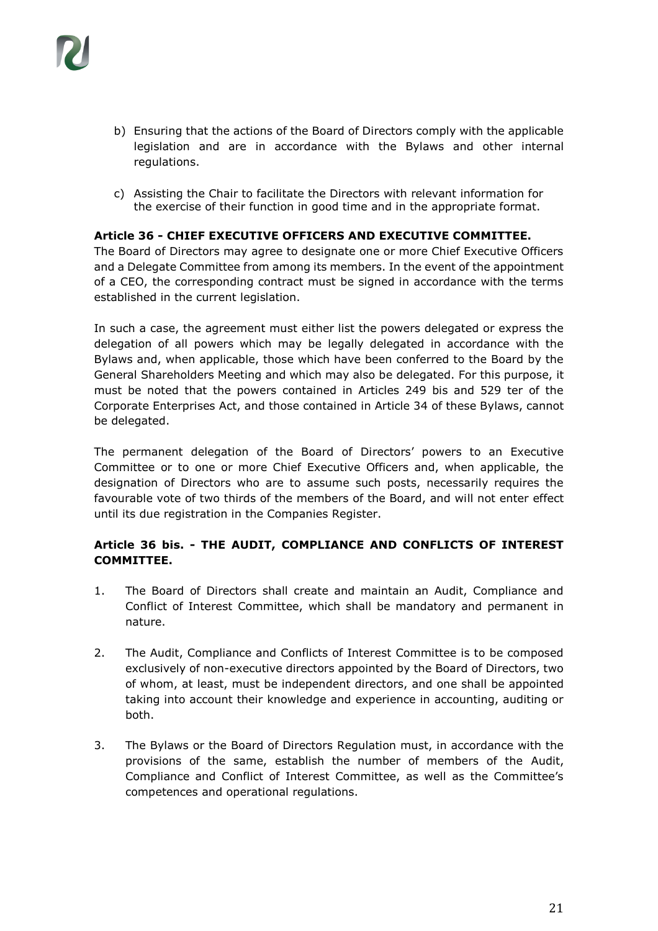- b) Ensuring that the actions of the Board of Directors comply with the applicable legislation and are in accordance with the Bylaws and other internal regulations.
- c) Assisting the Chair to facilitate the Directors with relevant information for the exercise of their function in good time and in the appropriate format.

#### **Article 36 - CHIEF EXECUTIVE OFFICERS AND EXECUTIVE COMMITTEE.**

The Board of Directors may agree to designate one or more Chief Executive Officers and a Delegate Committee from among its members. In the event of the appointment of a CEO, the corresponding contract must be signed in accordance with the terms established in the current legislation.

In such a case, the agreement must either list the powers delegated or express the delegation of all powers which may be legally delegated in accordance with the Bylaws and, when applicable, those which have been conferred to the Board by the General Shareholders Meeting and which may also be delegated. For this purpose, it must be noted that the powers contained in Articles 249 bis and 529 ter of the Corporate Enterprises Act, and those contained in Article 34 of these Bylaws, cannot be delegated.

The permanent delegation of the Board of Directors' powers to an Executive Committee or to one or more Chief Executive Officers and, when applicable, the designation of Directors who are to assume such posts, necessarily requires the favourable vote of two thirds of the members of the Board, and will not enter effect until its due registration in the Companies Register.

# **Article 36 bis. - THE AUDIT, COMPLIANCE AND CONFLICTS OF INTEREST COMMITTEE.**

- 1. The Board of Directors shall create and maintain an Audit, Compliance and Conflict of Interest Committee, which shall be mandatory and permanent in nature.
- 2. The Audit, Compliance and Conflicts of Interest Committee is to be composed exclusively of non-executive directors appointed by the Board of Directors, two of whom, at least, must be independent directors, and one shall be appointed taking into account their knowledge and experience in accounting, auditing or both.
- 3. The Bylaws or the Board of Directors Regulation must, in accordance with the provisions of the same, establish the number of members of the Audit, Compliance and Conflict of Interest Committee, as well as the Committee's competences and operational regulations.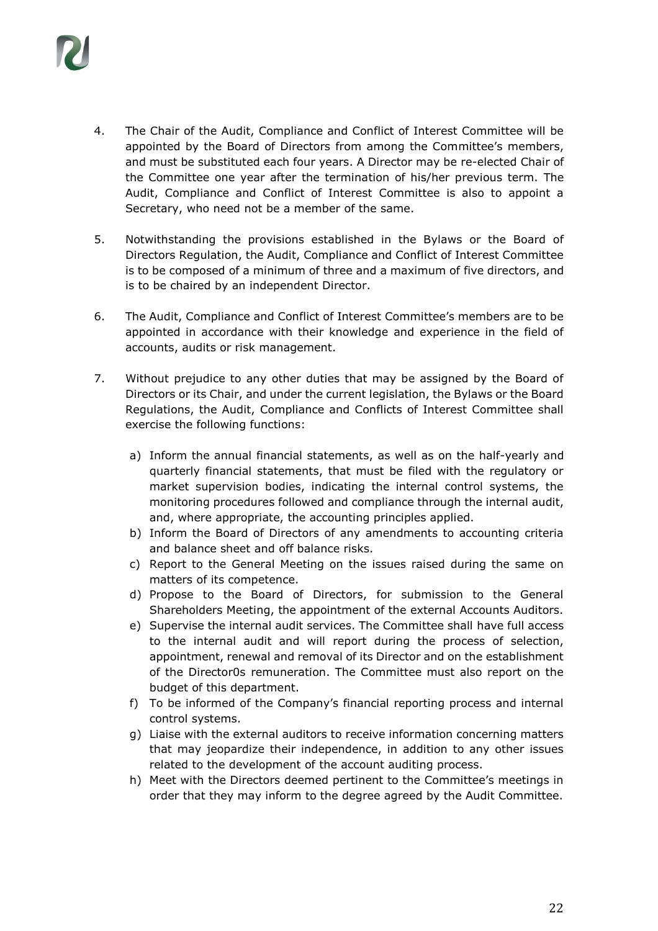

- 4. The Chair of the Audit, Compliance and Conflict of Interest Committee will be appointed by the Board of Directors from among the Committee's members, and must be substituted each four years. A Director may be re-elected Chair of the Committee one year after the termination of his/her previous term. The Audit, Compliance and Conflict of Interest Committee is also to appoint a Secretary, who need not be a member of the same.
- 5. Notwithstanding the provisions established in the Bylaws or the Board of Directors Regulation, the Audit, Compliance and Conflict of Interest Committee is to be composed of a minimum of three and a maximum of five directors, and is to be chaired by an independent Director.
- 6. The Audit, Compliance and Conflict of Interest Committee's members are to be appointed in accordance with their knowledge and experience in the field of accounts, audits or risk management.
- 7. Without prejudice to any other duties that may be assigned by the Board of Directors or its Chair, and under the current legislation, the Bylaws or the Board Regulations, the Audit, Compliance and Conflicts of Interest Committee shall exercise the following functions:
	- a) Inform the annual financial statements, as well as on the half-yearly and quarterly financial statements, that must be filed with the regulatory or market supervision bodies, indicating the internal control systems, the monitoring procedures followed and compliance through the internal audit, and, where appropriate, the accounting principles applied.
	- b) Inform the Board of Directors of any amendments to accounting criteria and balance sheet and off balance risks.
	- c) Report to the General Meeting on the issues raised during the same on matters of its competence.
	- d) Propose to the Board of Directors, for submission to the General Shareholders Meeting, the appointment of the external Accounts Auditors.
	- e) Supervise the internal audit services. The Committee shall have full access to the internal audit and will report during the process of selection, appointment, renewal and removal of its Director and on the establishment of the Director0s remuneration. The Committee must also report on the budget of this department.
	- f) To be informed of the Company's financial reporting process and internal control systems.
	- g) Liaise with the external auditors to receive information concerning matters that may jeopardize their independence, in addition to any other issues related to the development of the account auditing process.
	- h) Meet with the Directors deemed pertinent to the Committee's meetings in order that they may inform to the degree agreed by the Audit Committee.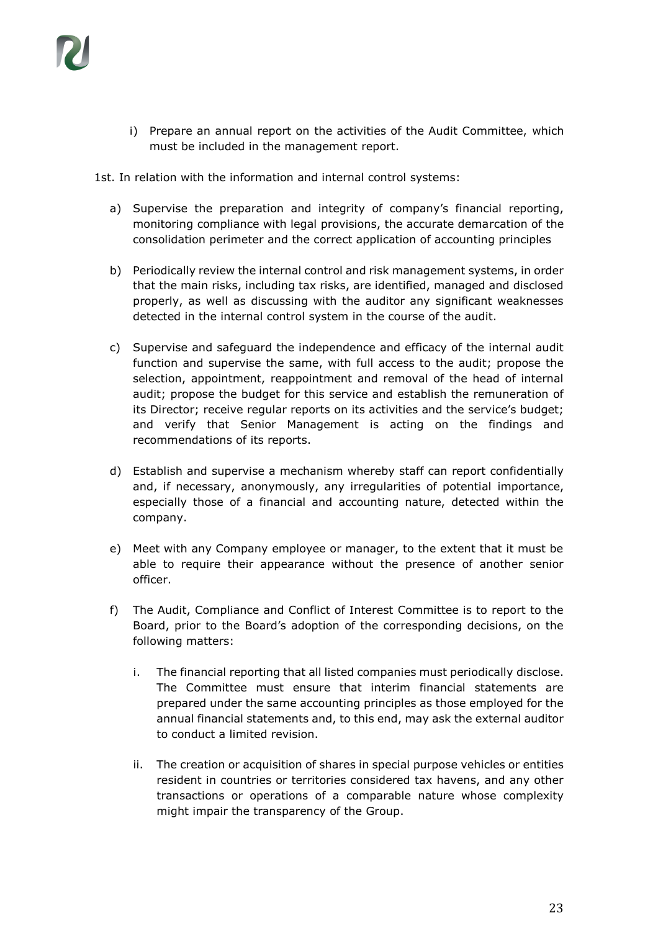

i) Prepare an annual report on the activities of the Audit Committee, which must be included in the management report.

1st. In relation with the information and internal control systems:

- a) Supervise the preparation and integrity of company's financial reporting, monitoring compliance with legal provisions, the accurate demarcation of the consolidation perimeter and the correct application of accounting principles
- b) Periodically review the internal control and risk management systems, in order that the main risks, including tax risks, are identified, managed and disclosed properly, as well as discussing with the auditor any significant weaknesses detected in the internal control system in the course of the audit.
- c) Supervise and safeguard the independence and efficacy of the internal audit function and supervise the same, with full access to the audit; propose the selection, appointment, reappointment and removal of the head of internal audit; propose the budget for this service and establish the remuneration of its Director; receive regular reports on its activities and the service's budget; and verify that Senior Management is acting on the findings and recommendations of its reports.
- d) Establish and supervise a mechanism whereby staff can report confidentially and, if necessary, anonymously, any irregularities of potential importance, especially those of a financial and accounting nature, detected within the company.
- e) Meet with any Company employee or manager, to the extent that it must be able to require their appearance without the presence of another senior officer.
- f) The Audit, Compliance and Conflict of Interest Committee is to report to the Board, prior to the Board's adoption of the corresponding decisions, on the following matters:
	- i. The financial reporting that all listed companies must periodically disclose. The Committee must ensure that interim financial statements are prepared under the same accounting principles as those employed for the annual financial statements and, to this end, may ask the external auditor to conduct a limited revision.
	- ii. The creation or acquisition of shares in special purpose vehicles or entities resident in countries or territories considered tax havens, and any other transactions or operations of a comparable nature whose complexity might impair the transparency of the Group.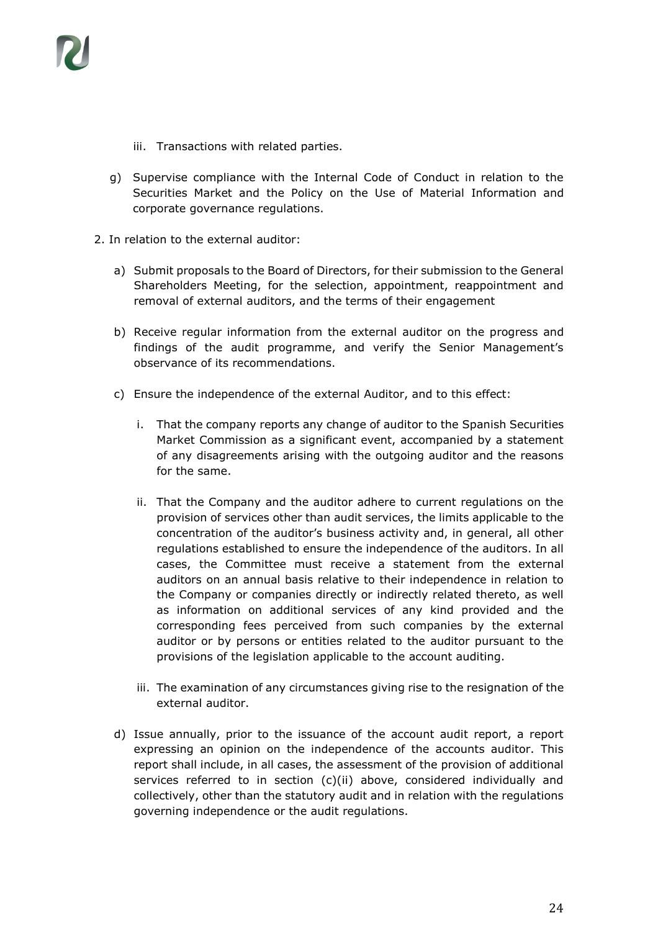

- iii. Transactions with related parties.
- g) Supervise compliance with the Internal Code of Conduct in relation to the Securities Market and the Policy on the Use of Material Information and corporate governance regulations.
- 2. In relation to the external auditor:
	- a) Submit proposals to the Board of Directors, for their submission to the General Shareholders Meeting, for the selection, appointment, reappointment and removal of external auditors, and the terms of their engagement
	- b) Receive regular information from the external auditor on the progress and findings of the audit programme, and verify the Senior Management's observance of its recommendations.
	- c) Ensure the independence of the external Auditor, and to this effect:
		- i. That the company reports any change of auditor to the Spanish Securities Market Commission as a significant event, accompanied by a statement of any disagreements arising with the outgoing auditor and the reasons for the same.
		- ii. That the Company and the auditor adhere to current regulations on the provision of services other than audit services, the limits applicable to the concentration of the auditor's business activity and, in general, all other regulations established to ensure the independence of the auditors. In all cases, the Committee must receive a statement from the external auditors on an annual basis relative to their independence in relation to the Company or companies directly or indirectly related thereto, as well as information on additional services of any kind provided and the corresponding fees perceived from such companies by the external auditor or by persons or entities related to the auditor pursuant to the provisions of the legislation applicable to the account auditing.
		- iii. The examination of any circumstances giving rise to the resignation of the external auditor.
	- d) Issue annually, prior to the issuance of the account audit report, a report expressing an opinion on the independence of the accounts auditor. This report shall include, in all cases, the assessment of the provision of additional services referred to in section (c)(ii) above, considered individually and collectively, other than the statutory audit and in relation with the regulations governing independence or the audit regulations.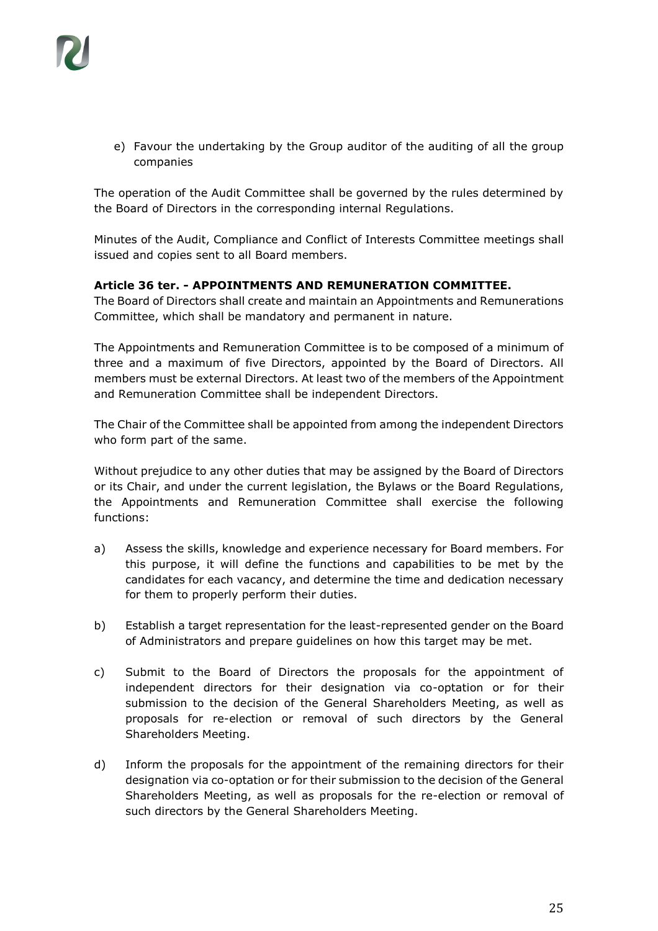e) Favour the undertaking by the Group auditor of the auditing of all the group companies

The operation of the Audit Committee shall be governed by the rules determined by the Board of Directors in the corresponding internal Regulations.

Minutes of the Audit, Compliance and Conflict of Interests Committee meetings shall issued and copies sent to all Board members.

#### **Article 36 ter. - APPOINTMENTS AND REMUNERATION COMMITTEE.**

The Board of Directors shall create and maintain an Appointments and Remunerations Committee, which shall be mandatory and permanent in nature.

The Appointments and Remuneration Committee is to be composed of a minimum of three and a maximum of five Directors, appointed by the Board of Directors. All members must be external Directors. At least two of the members of the Appointment and Remuneration Committee shall be independent Directors.

The Chair of the Committee shall be appointed from among the independent Directors who form part of the same.

Without prejudice to any other duties that may be assigned by the Board of Directors or its Chair, and under the current legislation, the Bylaws or the Board Regulations, the Appointments and Remuneration Committee shall exercise the following functions:

- a) Assess the skills, knowledge and experience necessary for Board members. For this purpose, it will define the functions and capabilities to be met by the candidates for each vacancy, and determine the time and dedication necessary for them to properly perform their duties.
- b) Establish a target representation for the least-represented gender on the Board of Administrators and prepare guidelines on how this target may be met.
- c) Submit to the Board of Directors the proposals for the appointment of independent directors for their designation via co-optation or for their submission to the decision of the General Shareholders Meeting, as well as proposals for re-election or removal of such directors by the General Shareholders Meeting.
- d) Inform the proposals for the appointment of the remaining directors for their designation via co-optation or for their submission to the decision of the General Shareholders Meeting, as well as proposals for the re-election or removal of such directors by the General Shareholders Meeting.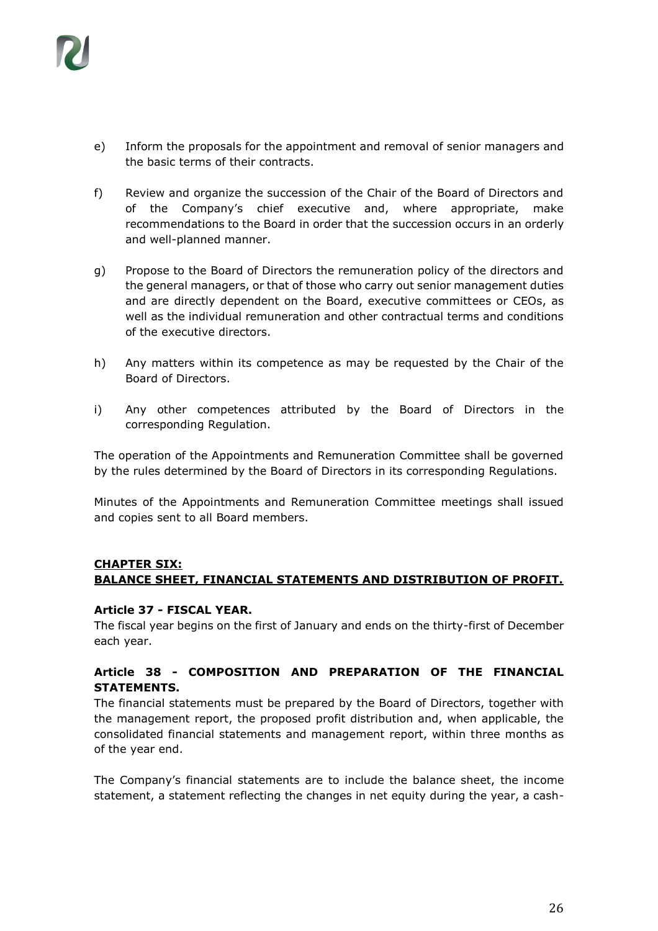

- e) Inform the proposals for the appointment and removal of senior managers and the basic terms of their contracts.
- f) Review and organize the succession of the Chair of the Board of Directors and of the Company's chief executive and, where appropriate, make recommendations to the Board in order that the succession occurs in an orderly and well-planned manner.
- g) Propose to the Board of Directors the remuneration policy of the directors and the general managers, or that of those who carry out senior management duties and are directly dependent on the Board, executive committees or CEOs, as well as the individual remuneration and other contractual terms and conditions of the executive directors.
- h) Any matters within its competence as may be requested by the Chair of the Board of Directors.
- i) Any other competences attributed by the Board of Directors in the corresponding Regulation.

The operation of the Appointments and Remuneration Committee shall be governed by the rules determined by the Board of Directors in its corresponding Regulations.

Minutes of the Appointments and Remuneration Committee meetings shall issued and copies sent to all Board members.

#### **CHAPTER SIX: BALANCE SHEET, FINANCIAL STATEMENTS AND DISTRIBUTION OF PROFIT.**

#### **Article 37 - FISCAL YEAR.**

The fiscal year begins on the first of January and ends on the thirty-first of December each year.

#### **Article 38 - COMPOSITION AND PREPARATION OF THE FINANCIAL STATEMENTS.**

The financial statements must be prepared by the Board of Directors, together with the management report, the proposed profit distribution and, when applicable, the consolidated financial statements and management report, within three months as of the year end.

The Company's financial statements are to include the balance sheet, the income statement, a statement reflecting the changes in net equity during the year, a cash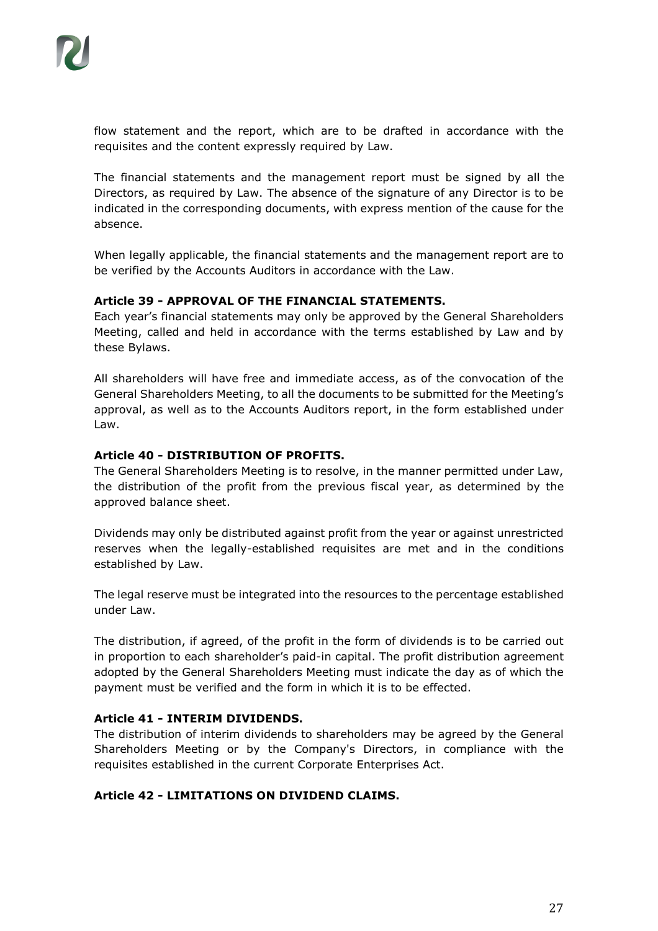flow statement and the report, which are to be drafted in accordance with the requisites and the content expressly required by Law.

The financial statements and the management report must be signed by all the Directors, as required by Law. The absence of the signature of any Director is to be indicated in the corresponding documents, with express mention of the cause for the absence.

When legally applicable, the financial statements and the management report are to be verified by the Accounts Auditors in accordance with the Law.

#### **Article 39 - APPROVAL OF THE FINANCIAL STATEMENTS.**

Each year's financial statements may only be approved by the General Shareholders Meeting, called and held in accordance with the terms established by Law and by these Bylaws.

All shareholders will have free and immediate access, as of the convocation of the General Shareholders Meeting, to all the documents to be submitted for the Meeting's approval, as well as to the Accounts Auditors report, in the form established under Law.

#### **Article 40 - DISTRIBUTION OF PROFITS.**

The General Shareholders Meeting is to resolve, in the manner permitted under Law, the distribution of the profit from the previous fiscal year, as determined by the approved balance sheet.

Dividends may only be distributed against profit from the year or against unrestricted reserves when the legally-established requisites are met and in the conditions established by Law.

The legal reserve must be integrated into the resources to the percentage established under Law.

The distribution, if agreed, of the profit in the form of dividends is to be carried out in proportion to each shareholder's paid-in capital. The profit distribution agreement adopted by the General Shareholders Meeting must indicate the day as of which the payment must be verified and the form in which it is to be effected.

#### **Article 41 - INTERIM DIVIDENDS.**

The distribution of interim dividends to shareholders may be agreed by the General Shareholders Meeting or by the Company's Directors, in compliance with the requisites established in the current Corporate Enterprises Act.

# **Article 42 - LIMITATIONS ON DIVIDEND CLAIMS.**